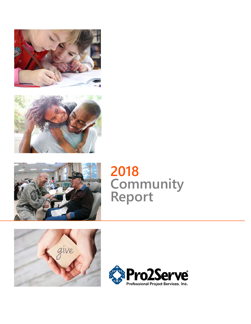





# **2018 Community Report**



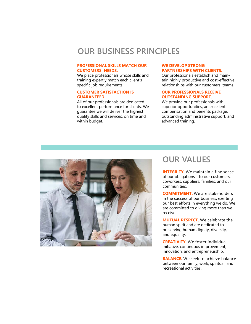## **OUR BUSINESS PRINCIPLES**

#### **PROFESSIONAL SKILLS MATCH OUR CUSTOMERS' NEEDS.**

We place professionals whose skills and training expertly match each client's specific job requirements.

#### **CUSTOMER SATISFACTION IS GUARANTEED.**

All of our professionals are dedicated to excellent performance for clients. We guarantee we will deliver the highest quality skills and services, on time and within budget.

#### **WE DEVELOP STRONG PARTNERSHIPS WITH CLIENTS.**

Our professionals establish and maintain highly productive and cost-effective relationships with our customers' teams.

#### **OUR PROFESSIONALS RECEIVE OUTSTANDING SUPPORT.**

We provide our professionals with superior opportunities, an excellent compensation and benefits package, outstanding administrative support, and advanced training.



## **OUR VALUES**

**INTEGRITY.** We maintain a fine sense of our obligations—to our customers, coworkers, suppliers, families, and our communities.

**COMMITMENT.** We are stakeholders in the success of our business, exerting our best efforts in everything we do. We are committed to giving more than we receive.

**MUTUAL RESPECT.** We celebrate the human spirit and are dedicated to preserving human dignity, diversity, and equality.

**CREATIVITY.** We foster individual initiative, continuous improvement, innovation, and entrepreneurship.

**BALANCE.** We seek to achieve balance between our family, work, spiritual, and recreational activities.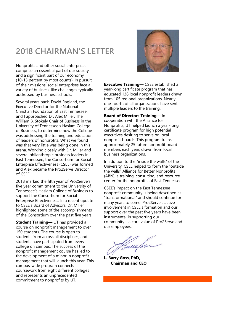## **2018 CHAIRMAN'S LETTER**

Nonprofits and other social enterprises comprise an essential part of our society and a significant part of our economy (10-15 percent by most counts). In pursuit of their missions, social enterprises face a variety of business-like challenges typically addressed by business schools.

Several years back, David Ragland, the Executive Director for the National Christian Foundation of East Tennessee, and I approached Dr. Alex Miller, The William B. Stokely Chair of Business in the University of Tennessee's Haslam College of Business, to determine how the College was addressing the training and education of leaders of nonprofits. What we found was that very little was being done in this arena. Working closely with Dr. Miller and several philanthropic business leaders in East Tennessee, the Consortium for Social Enterprise Effectiveness (CSEE) was formed and Alex became the Pro2Serve Director of CSEE.

2018 marked the fifth year of Pro2Serve's five year commitment to the University of Tennessee's Haslam College of Business to support the Consortium for Social Enterprise Effectiveness. In a recent update to CSEE's Board of Advisors, Dr. Miller highlighted some of the accomplishments of the Consortium over the past five years:

**Student Training—** UT has provided a course on nonprofit management to over 150 students. The course is open to students from across all disciplines, and students have participated from every college on campus. The success of the nonprofit management course has led to the development of a minor in nonprofit management that will launch this year. This campus-wide program connects coursework from eight different colleges and represents an unprecedented commitment to nonprofits by UT.



**Executive Training—** CSEE established a year-long certificate program that has educated 138 local nonprofit leaders drawn from 105 regional organizations. Nearly one-fourth of all organizations have sent multiple leaders to the training.

**Board of Directors Training—** In cooperation with the Alliance for Nonprofits, UT helped launch a year-long certificate program for high potential executives desiring to serve on local nonprofit boards. This program trains approximately 25 future nonprofit board members each year, drawn from local business organizations.

In addition to the "inside the walls" of the University, CSEE helped to form the "outside the walls" Alliance for Better Nonprofits (ABN), a training, consulting, and resource center for the nonprofits of East Tennessee.

CSEE's impact on the East Tennessee nonprofit community is being described as "transformational" and should continue for many years to come. Pro2Serve's active involvement in CSEE's formation and our support over the past five years have been instrumental in supporting our community—a core value of Pro2Serve and our employees.

Sam Sar

**L. Barry Goss, PhD, Chairman and CEO**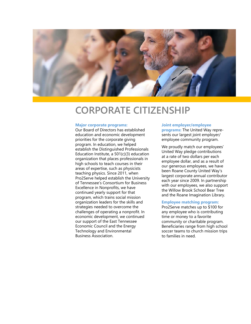

## **CORPORATE CITIZENSHIP**

#### **Major corporate programs:**

Our Board of Directors has established education and economic development priorities for the corporate giving program. In education, we helped establish the Distinguished Professionals Education Institute, a 501(c)(3) education organization that places professionals in high schools to teach courses in their areas of expertise, such as physicists teaching physics. Since 2011, when Pro2Serve helped establish the University of Tennessee's Consortium for Business Excellence in Nonprofits, we have continued yearly support for that program, which trains social mission organization leaders for the skills and strategies needed to overcome the challenges of operating a nonprofit. In economic development, we continued our support of the East Tennessee Economic Council and the Energy Technology and Environmental Business Association.

#### **Joint employer/employee**

**programs:** The United Way represents our largest joint employer/ employee community program.

We proudly match our employees' United Way pledge contributions at a rate of two dollars per each employee dollar, and as a result of our generous employees, we have been Roane County United Way's largest corporate annual contributor each year since 2009. In partnership with our employees, we also support the Willow Brook School Bear Tree and the Roane Imagination Library.

#### **Employee matching program:**

Pro2Serve matches up to \$100 for any employee who is contributing time or money to a favorite community or charitable program. Beneficiaries range from high school soccer teams to church mission trips to families in need.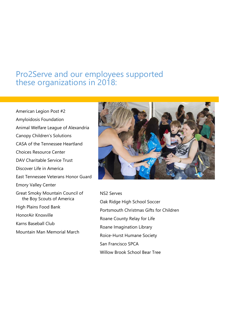## Pro2Serve and our employees supported these organizations in 2018:

American Legion Post #2 Amyloidosis Foundation Animal Welfare League of Alexandria Canopy Children's Solutions CASA of the Tennessee Heartland Choices Resource Center DAV Charitable Service Trust Discover Life in America East Tennessee Veterans Honor Guard Emory Valley Center Great Smoky Mountain Council of the Boy Scouts of America High Plains Food Bank HonorAir Knoxville Karns Baseball Club Mountain Man Memorial March



NS2 Serves Oak Ridge High School Soccer Portsmouth Christmas Gifts for Children Roane County Relay for Life Roane Imagination Library Roice-Hurst Humane Society San Francisco SPCA Willow Brook School Bear Tree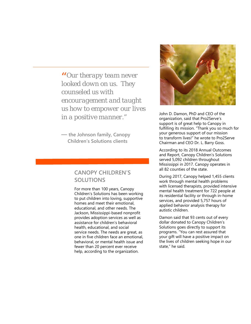*Our therapy team never*  " *looked down on us. They counseled us with encouragement and taught us how to empower our lives in a positive manner."* 

**— the Johnson family, Canopy Children's Solutions clients**

### **CANOPY CHILDREN'S SOLUTIONS**

For more than 100 years, Canopy Children's Solutions has been working to put children into loving, supportive homes and meet their emotional, educational, and other needs. The Jackson, Mississippi-based nonprofit provides adoption services as well as assistance for children's behavioral health, educational, and social service needs. The needs are great, as one in five children face an emotional, behavioral, or mental health issue and fewer than 20 percent ever receive help, according to the organization.



John D. Damon, PhD and CEO of the organization, said that Pro2Serve's support is of great help to Canopy in fulfilling its mission. "Thank you so much for your generous support of our mission to transform lives!" he wrote to Pro2Serve Chairman and CEO Dr. L. Barry Goss.

According to its 2018 Annual Outcomes and Report, Canopy Children's Solutions served 5,092 children throughout Mississippi in 2017. Canopy operates in all 82 counties of the state.

During 2017, Canopy helped 1,455 clients work through mental health problems with licensed therapists, provided intensive mental health treatment for 722 people at its residential facility or through in-home services, and provided 5,757 hours of applied behavior analysis therapy for autistic children.

Damon said that 93 cents out of every dollar donated to Canopy Children's Solutions goes directly to support its programs. "You can rest assured that your gift will have a positive impact on the lives of children seeking hope in our state," he said.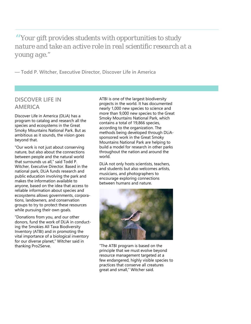*Your gift provides students with opportunities to study*  " *nature and take an active role in real scientific research at a young age."* 

**— Todd P. Witcher, Executive Director, Discover Life in America**

### **DISCOVER LIFE IN AMERICA**

Discover Life in America (DLiA) has a program to catalog and research all the species and ecosystems in the Great Smoky Mountains National Park. But as ambitious as it sounds, the vision goes beyond that.

"Our work is not just about conserving nature, but also about the connections between people and the natural world that surrounds us all," said Todd P. Witcher, Executive Director. Based in the national park, DLiA funds research and public education involving the park and makes the information available to anyone, based on the idea that access to reliable information about species and ecosystems allows governments, corporations, landowners, and conservation groups to try to protect these resources while pursuing their own goals.

"Donations from you, and our other donors, fund the work of DLiA in conducting the Smokies All Taxa Biodiversity Inventory (ATBI) and in promoting the vital importance of a biological inventory for our diverse planet," Witcher said in thanking Pro2Serve.

ATBI is one of the largest biodiversity projects in the world. It has documented nearly 1,000 new species to science and more than 9,000 new species to the Great Smoky Mountains National Park, which contains a total of 19,866 species, according to the organization. The methods being developed through DLiAsponsored work in the Great Smoky Mountains National Park are helping to build a model for research in other parks throughout the nation and around the world.

DLiA not only hosts scientists, teachers, and students but also welcomes artists, musicians, and photographers to encourage exploring connections between humans and nature.



"The ATBI program is based on the principle that we must evolve beyond resource management targeted at a few endangered, highly visible species to practices that conserve all creatures great and small," Witcher said.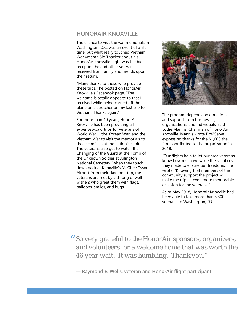### **HONORAIR KNOXVILLE**

The chance to visit the war memorials in Washington, D.C. was an event of a lifetime, but what really touched Vietnam War veteran Sid Thacker about his HonorAir Knoxville flight was the big reception he and other veterans received from family and friends upon their return.

"Many thanks to those who provide these trips," he posted on HonorAir Knoxville's Facebook page. "The welcome is totally opposite to that I received while being carried off the plane on a stretcher on my last trip to Vietnam. Thanks again."

For more than 10 years, HonorAir Knoxville has been providing allexpenses-paid trips for veterans of World War II, the Korean War, and the Vietnam War to visit the memorials to those conflicts at the nation's capital. The veterans also get to watch the Changing of the Guard at the Tomb of the Unknown Soldier at Arlington National Cemetery. When they touch down back at Knoxville's McGhee Tyson Airport from their day-long trip, the veterans are met by a throng of wellwishers who greet them with flags, balloons, smiles, and hugs.



The program depends on donations and support from businesses, organizations, and individuals, said Eddie Mannis, Chairman of HonorAir Knoxville. Mannis wrote Pro2Serve expressing thanks for the \$1,000 the firm contributed to the organization in 2018.

"Our flights help to let our area veterans know how much we value the sacrifices they made to ensure our freedoms," he wrote. "Knowing that members of the community support the project will make the trip an even more memorable occasion for the veterans."

As of May 2018, HonorAir Knoxville had been able to take more than 3,300 veterans to Washington, D.C.

*So very grateful to the HonorAir sponsors, organizers,*  " *and volunteers for a welcome home that was worth the 46 year wait. It was humbling. Thank you."* 

**— Raymond E. Wells, veteran and HonorAir flight participant**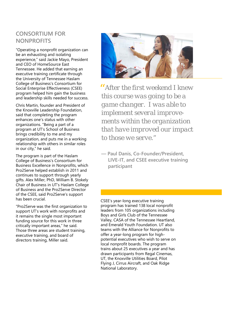## **CONSORTIUM FOR NONPROFITS**

"Operating a nonprofit organization can be an exhausting and isolating experience," said Jackie Mayo, President and CEO of HomeSource East Tennessee. He added that earning an executive training certificate through the University of Tennessee Haslam College of Business's Consortium for Social Enterprise Effectiveness (CSEE) program helped him gain the business and leadership skills needed for success.

Chris Martin, founder and President of the Knoxville Leadership Foundation, said that completing the program enhances one's status with other organizations. "Being a part of a program at UT's School of Business brings credibility to me and my organization, and puts me in a working relationship with others in similar roles in our city," he said.

The program is part of the Haslam College of Business's Consortium for Business Excellence in Nonprofits, which Pro2Serve helped establish in 2011 and continues to support through yearly gifts. Alex Miller, PhD, William B. Stokely Chair of Business in UT's Haslam College of Business and the Pro2Serve Director of the CSEE, said Pro2Serve's support has been crucial.

"Pro2Serve was the first organization to support UT's work with nonprofits and it remains the single most important funding source for this work in three critically important areas," he said. Those three areas are student training, executive training, and board of directors training, Miller said.



*After the first weekend I knew*  " *this course was going to be a game changer. I was able to implement several improvements within the organization that have improved our impact to those we serve."* 

**— Paul Danis, Co-Founder/President, LIVE-IT, and CSEE executive training participant**

CSEE's year-long executive training program has trained 138 local nonprofit leaders from 105 organizations including Boys and Girls Club of the Tennessee Valley, CASA of the Tennessee Heartland, and Emerald Youth Foundation. UT also teams with the Alliance for Nonprofits to offer a year-long program for highpotential executives who wish to serve on local nonprofit boards. The program trains about 25 executives a year and has drawn participants from Regal Cinemas, UT, the Knoxville Utilities Board, Pilot Flying J, Cirrus Aircraft, and Oak Ridge National Laboratory.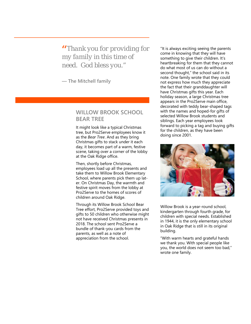*Thank you for providing for*  " *my family in this time of need. God bless you."* 

**— The Mitchell family**

#### **WILLOW BROOK SCHOOL BEAR TREE**

It might look like a typical Christmas tree, but Pro2Serve employees know it as the *Bear Tree*. And as they bring Christmas gifts to stack under it each day, it becomes part of a warm, festive scene, taking over a corner of the lobby at the Oak Ridge office.

Then, shortly before Christmas, employees load up all the presents and take them to Willow Brook Elementary School, where parents pick them up later. On Christmas Day, the warmth and festive spirit moves from the lobby at Pro2Serve to the homes of scores of children around Oak Ridge.

Through its Willow Brook School Bear Tree effort, Pro2Serve provided toys and gifts to 50 children who otherwise might not have received Christmas presents in 2018. The school sent Pro2Serve a bundle of thank-you cards from the parents, as well as a note of appreciation from the school.

"It is always exciting seeing the parents come in knowing that they will have something to give their children. It's heartbreaking for them that they cannot do what most of us can do without a second thought," the school said in its note. One family wrote that they could not express how much they appreciate the fact that their granddaughter will have Christmas gifts this year. Each holiday season, a large Christmas tree appears in the Pro2Serve main office, decorated with teddy bear-shaped tags with the names and hoped-for gifts of selected Willow Brook students and siblings. Each year employees look forward to picking a tag and buying gifts for the children, as they have been doing since 2001.



Willow Brook is a year-round school, kindergarten through fourth grade, for children with special needs. Established in 1944, it is the only elementary school in Oak Ridge that is still in its original building.

"With warm hearts and grateful hands we thank you. With special people like you, the world does not seem too bad," wrote one family.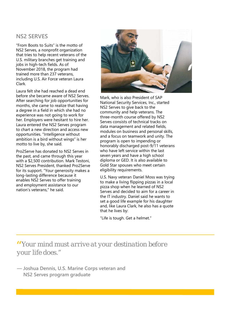### **NS2 SERVES**

"From Boots to Suits" is the motto of NS2 Serves, a nonprofit organization that tries to help recent veterans of the U.S. military branches get training and jobs in high-tech fields. As of November 2018, the program had trained more than 237 veterans, including U.S. Air Force veteran Laura Clark.

Laura felt she had reached a dead end before she became aware of NS2 Serves. After searching for job opportunities for months, she came to realize that having a degree in a field in which she had no experience was not going to work for her. Employers were hesitant to hire her. Laura entered the NS2 Serves program to chart a new direction and access new opportunities. "Intelligence without ambition is a bird without wings" is her motto to live by, she said.

Pro2Serve has donated to NS2 Serves in the past, and came through this year with a \$2,500 contribution. Mark Testoni, NS2 Serves President, thanked Pro2Serve for its support. "Your generosity makes a long-lasting difference because it enables NS2 Serves to offer training and employment assistance to our nation's veterans," he said.



Mark, who is also President of SAP National Security Services, Inc., started NS2 Serves to give back to the community and help veterans. The three-month course offered by NS2 Serves consists of technical tracks on data management and related fields, modules on business and personal skills, and a focus on teamwork and unity. The program is open to impending or honorably discharged post-9/11 veterans who have left service within the last seven years and have a high school diploma or GED. It is also available to Gold Star spouses who meet certain eligibility requirements.

U.S. Navy veteran Daniel Moss was trying to make a living flipping pizzas in a local pizza shop when he learned of NS2 Serves and decided to aim for a career in the IT industry. Daniel said he wants to set a good life example for his daughter and, like Laura Clark, he also has a quote that he lives by:

"Life is tough. Get a helmet."

*Your mind must arrive at your destination before*  "  *your life does."* 

**— Joshua Dennis, U.S. Marine Corps veteran and NS2 Serves program graduate**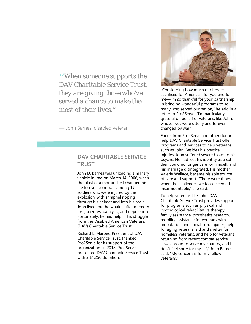*When someone supports the*  " *DAV Charitable Service Trust, they are giving those who've served a chance to make the most of their lives."* 

— John Barnes, disabled veteran

### **DAV CHARITABLE SERVICE TRUST**

John D. Barnes was unloading a military vehicle in Iraq on March 14, 2006, when the blast of a mortar shell changed his life forever. John was among 17 soldiers who were injured by the explosion, with shrapnel ripping through his helmet and into his brain. John lived, but he would suffer memory loss, seizures, paralysis, and depression. Fortunately, he had help in his struggle from the Disabled American Veterans (DAV) Charitable Service Trust.

Richard E. Marbes, President of DAV Charitable Service Trust, thanked Pro2Serve for its support of the organization. In 2018, Pro2Serve presented DAV Charitable Service Trust with a \$1,250 donation.



"Considering how much our heroes sacrificed for America—for you and for me—I'm so thankful for your partnership in bringing wonderful programs to so many who served our nation," he said in a letter to Pro2Serve. "I'm particularly grateful on behalf of veterans, like John, whose lives were utterly and forever changed by war."

Funds from Pro2Serve and other donors help DAV Charitable Service Trust offer programs and services to help veterans such as John. Besides his physical Injuries, John suffered severe blows to his psyche. He had lost his identity as a soldier, could no longer care for himself, and his marriage disintegrated. His mother, Valerie Wallace, became his sole source of care and support. "There were times when the challenges we faced seemed insurmountable," she said.

To help veterans like John, DAV Charitable Service Trust provides support for programs such as physical and psychological rehabilitative therapy, family assistance, prosthetics research, mobility assistance for veterans with amputation and spinal cord injuries, help for aging veterans, aid and shelter for homeless veterans, and help for veterans returning from recent combat service. "I was proud to serve my country, and I don't feel sorry for myself," John Barnes said. "My concern is for my fellow veterans."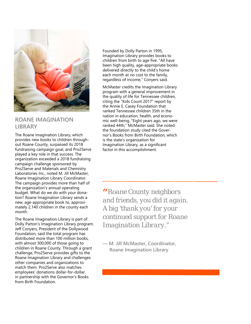

#### **ROANE IMAGINATION LIBRARY**

The Roane Imagination Library, which provides new books to children throughout Roane County, surpassed its 2018 fundraising campaign goal, and Pro2Serve played a key role in that success. The organization exceeded a 2018 fundraising campaign challenge sponsored by Pro2Serve and Materials and Chemistry Laboratories Inc., noted M. Jill McMaster, Roane Imagination Library Coordinator. The campaign provides more than half of the organization's annual operating budget. What do we do with your donation? Roane Imagination Library sends a new, age-appropriate book to, approximately 2,140 children in the county each month.

The Roane Imagination Library is part of Dolly Parton's Imagination Library program. Jeff Conyers, President of the Dollywood Foundation, said the total program has distributed more than 100 million books, with almost 300,000 of those going to children in Roane County. Through a grant challenge, Pro2Serve provides gifts to the Roane Imagination Library and challenges other companies and organizations to match them. Pro2Serve also matches employees' donations dollar-for-dollar, in partnership with the Governor's Books from Birth Foundation.

Founded by Dolly Parton in 1995, Imagination Library provides books to children from birth to age five. "All have been high quality, age-appropriate books delivered directly to the child's home each month at no cost to the family, regardless of income," Conyers said.

McMaster credits the Imagination Library program with a general improvement in the quality of life for Tennessee children, citing the "Kids Count 2017" report by the Annie E. Casey Foundation that ranked Tennessee children 35th in the nation in education, health, and economic well-being. "Eight years ago, we were ranked 44th," McMaster said. She noted the foundation study cited the Governor's Books from Birth Foundation, which is the state's organization for Imagination Library, as a significant factor in this accomplishment.

*Roane County neighbors*  " *and friends, you did it again. A big 'thank you' for your continued support for Roane Imagination Library."* 

**— M. Jill McMaster, Coordinator, Roane Imagination Library**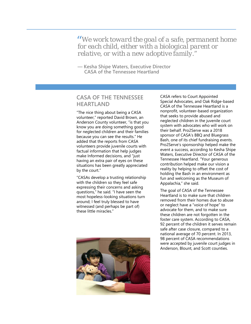*We work toward the goal of a safe, permanent home*  " *for each child, either with a biological parent or relative, or with a new adoptive family."* 

**— Kesha Shipe Waters, Executive Director CASA of the Tennessee Heartland** 

### **CASA OF THE TENNESSEE HEARTLAND**

"The nice thing about being a CASA volunteer," reported David Brown, an Anderson County volunteer, "is that you know you are doing something good for neglected children and their families because you can see the results." He added that the reports from CASA volunteers provide juvenile courts with factual information that help judges make Informed decisions, and "just having an extra pair of eyes on these situations has been greatly appreciated by the court."

"CASAs develop a trusting relationship with the children so they feel safe expressing their concerns and asking questions," he said. "I have seen the most hopeless-looking situations turn around; I feel truly blessed to have witnessed (and perhaps be part of) these little miracles."



CASA refers to Court Appointed Special Advocates, and Oak Ridge-based CASA of the Tennessee Heartland is a nonprofit, volunteer-based organization that seeks to provide abused and neglected children in the juvenile court system with advocates who will work on their behalf. Pro2Serve was a 2018 sponsor of CASA's BBQ and Bluegrass Bash, one of its chief fundraising events. Pro2Serve's sponsorship helped make the event a success, according to Kesha Shipe Waters, Executive Director of CASA of the Tennessee Heartland. "Your generous contribution helped make our vision a reality by helping to offset the cost of holding the Bash in an environment as fun and welcoming as the Museum of Appalachia," she said.

The goal of CASA of the Tennessee Heartland is to make sure that children removed from their homes due to abuse or neglect have a "voice of hope" to advocate for them, and to make sure these children are not forgotten in the foster care system. According to CASA, 92 percent of the children it serves remain safe after case closure, compared to a national average of 70 percent. In 2013, 98 percent of CASA recommendations were accepted by juvenile court judges in Anderson, Blount, and Scott counties.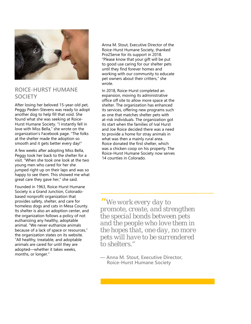

#### **ROICE-HURST HUMANE SOCIETY**

After losing her beloved 15-year-old pet, Peggy Peden-Stevens was ready to adopt another dog to help fill that void. She found what she was seeking at Roice-Hurst Humane Society. "I instantly fell in love with Miss Bella," she wrote on the organization's Facebook page. "The folks at the shelter made the adoption so smooth and it gets better every day!"

A few weeks after adopting Miss Bella, Peggy took her back to the shelter for a visit. "When she took one look at the two young men who cared for her she jumped right up on their laps and was so happy to see them. This showed me what great care they gave her," she said.

Founded in 1963, Roice-Hurst Humane Society is a Grand Junction, Coloradobased nonprofit organization that provides safety, shelter, and care for homeless dogs and cats in Mesa County. Its shelter is also an adoption center, and the organization follows a policy of not euthanizing any healthy, adoptable animal. "We never euthanize animals because of a lack of space or resources," the organization states on its website. "All healthy, treatable, and adoptable animals are cared for until they are adopted—whether it takes weeks, months, or longer."

Anna M. Stout, Executive Director of the Roice-Hurst Humane Society, thanked Pro2Serve for its support in 2018. "Please know that your gift will be put to good use caring for our shelter pets until they find forever homes and working with our community to educate pet owners about their critters," she wrote.

In 2018, Roice-Hurst completed an expansion, moving its administrative office off site to allow more space at the shelter. The organization has enhanced its services, offering new programs such as one that matches shelter pets with at-risk individuals. The organization got its start when the families of Ival Hurst and Joe Roice decided there was a need to provide a home for stray animals in what was then a mainly rural area. Roice donated the first shelter, which was a chicken coop on his property. The Roice-Hurst Humane Society now serves 14 counties in Colorado.

*We work every day to*  " *promote, create, and strengthen the special bonds between pets and the people who love them in the hopes that, one day, no more pets will have to be surrendered to shelters."* 

**— Anna M. Stout, Executive Director, Roice-Hurst Humane Society**